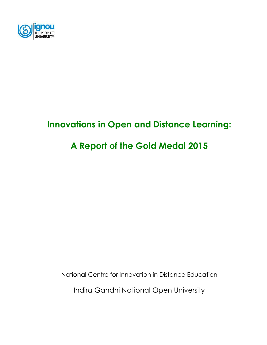

# **Innovations in Open and Distance Learning:**

# **A Report of the Gold Medal 2015**

National Centre for Innovation in Distance Education

Indira Gandhi National Open University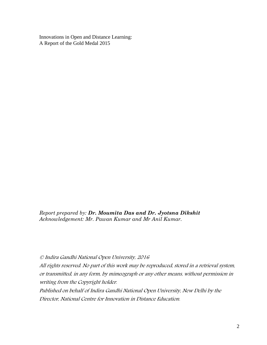Innovations in Open and Distance Learning: A Report of the Gold Medal 2015

*Report prepared by: Dr. Moumita Das and Dr. Jyotsna Dikshit Acknowledgement: Mr. Pawan Kumar and Mr Anil Kumar.*

© Indira Gandhi National Open University, 2016

All rights reserved. No part of this work may be reproduced, stored in a retrieval system, or transmitted, in any form, by mimeograph or any other means, without permission in writing from the Copyright holder.

Published on behalf of Indira Gandhi National Open University, New Delhi by the Director, National Centre for Innovation in Distance Education.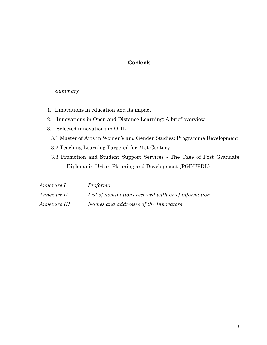### **Contents**

### *Summary*

- 1. Innovations in education and its impact
- 2. Innovations in Open and Distance Learning: A brief overview
- 3. Selected innovations in ODL
	- 3.1 Master of Arts in Women's and Gender Studies: Programme Development
	- 3.2 Teaching Learning Targeted for 21st Century
	- 3.3 Promotion and Student Support Services The Case of Post Graduate Diploma in Urban Planning and Development (PGDUPDL)

| Annexure I   | Proforma                                            |
|--------------|-----------------------------------------------------|
| Annexure II  | List of nominations received with brief information |
| Annexure III | Names and addresses of the Innovators               |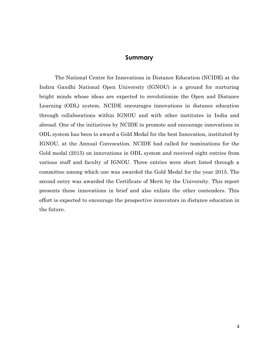### **Summary**

The National Centre for Innovations in Distance Education (NCIDE) at the Indira Gandhi National Open University (IGNOU) is a ground for nurturing bright minds whose ideas are expected to revolutionize the Open and Distance Learning (ODL) system. NCIDE encourages innovations in distance education through collaborations within IGNOU and with other institutes in India and abroad. One of the initiatives by NCIDE to promote and encourage innovations in ODL system has been to award a Gold Medal for the best Innovation, instituted by IGNOU, at the Annual Convocation. NCIDE had called for nominations for the Gold medal (2015) on innovations in ODL system and received eight entries from various staff and faculty of IGNOU. Three entries were short listed through a committee among which one was awarded the Gold Medal for the year 2015. The second entry was awarded the Certificate of Merit by the University. This report presents these innovations in brief and also enlists the other contenders. This effort is expected to encourage the prospective innovators in distance education in the future.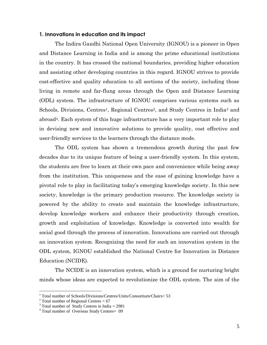### **1. Innovations in education and its impact**

The Indira Gandhi National Open University (IGNOU) is a pioneer in Open and Distance Learning in India and is among the prime educational institutions in the country. It has crossed the national boundaries, providing higher education and assisting other developing countries in this regard. IGNOU strives to provide cost-effective and quality education to all sections of the society, including those living in remote and far-flung areas through the Open and Distance Learning (ODL) system. The infrastructure of IGNOU comprises various systems such as Schools, Divisions, Centres<sup>1</sup>, Regional Centres<sup>2</sup>, and Study Centres in India<sup>3</sup> and abroad4. Each system of this huge infrastructure has a very important role to play in devising new and innovative solutions to provide quality, cost effective and user-friendly services to the learners through the distance mode.

The ODL system has shown a tremendous growth during the past few decades due to its unique feature of being a user-friendly system. In this system, the students are free to learn at their own pace and convenience while being away from the institution. This uniqueness and the ease of gaining knowledge have a pivotal role to play in facilitating today's emerging knowledge society. In this new society, knowledge is the primary production resource. The knowledge society is powered by the ability to create and maintain the knowledge infrastructure, develop knowledge workers and enhance their productivity through creation, growth and exploitation of knowledge. Knowledge is converted into wealth for social good through the process of innovation. Innovations are carried out through an innovation system. Recognizing the need for such an innovation system in the ODL system, IGNOU established the National Centre for Innovation in Distance Education (NCIDE).

The NCIDE is an innovation system, which is a ground for nurturing bright minds whose ideas are expected to revolutionize the ODL system. The aim of the

 $\overline{a}$ 

<sup>&</sup>lt;sup>1</sup> Total number of Schools/Divisions/Centres/Units/Consortium/Chairs= 53

 $2$  Total number of Regional Centres = 67

 $3 \text{ Total number of Study Centers in India} = 2981$ 

<sup>&</sup>lt;sup>4</sup> Total number of Overseas Study Centres= 09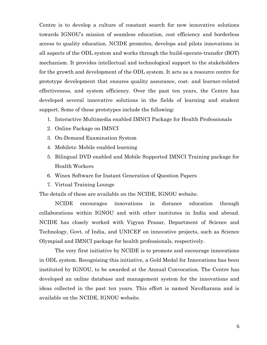Centre is to develop a culture of constant search for new innovative solutions towards IGNOU's mission of seamless education, cost efficiency and borderless access to quality education. NCIDE promotes, develops and pilots innovations in all aspects of the ODL system and works through the build-operate-transfer (BOT) mechanism. It provides intellectual and technological support to the stakeholders for the growth and development of the ODL system. It acts as a resource centre for prototype development that ensures quality assurance, cost- and learner-related effectiveness, and system efficiency. Over the past ten years, the Centre has developed several innovative solutions in the fields of learning and student support. Some of these prototypes include the following:

- 1. Interactive Multimedia enabled IMNCI Package for Health Professionals
- 2. Online Package on IMNCI
- 3. On-Demand Examination System
- 4. Mobilets: Mobile enabled learning
- 5. Bilingual DVD enabled and Mobile Supported IMNCI Training package for Health Workers
- 6. Winex Software for Instant Generation of Question Papers
- 7. Virtual Training Lounge

The details of these are available on the NCIDE, IGNOU website.

NCIDE encourages innovations in distance education through collaborations within IGNOU and with other institutes in India and abroad. NCIDE has closely worked with Vigyan Prasar, Department of Science and Technology, Govt. of India, and UNICEF on innovative projects, such as Science Olympiad and IMNCI package for health professionals, respectively.

The very first initiative by NCIDE is to promote and encourage innovations in ODL system. Recognising this initiative, a Gold Medal for Innovations has been instituted by IGNOU, to be awarded at the Annual Convocation. The Centre has developed an online database and management system for the innovations and ideas collected in the past ten years. This effort is named Navdharana and is available on the NCIDE, IGNOU website.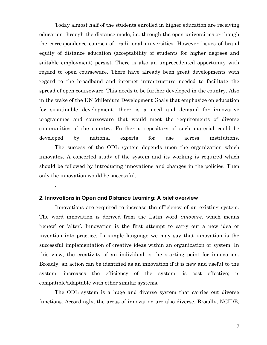Today almost half of the students enrolled in higher education are receiving education through the distance mode, i.e. through the open universities or though the correspondence courses of traditional universities. However issues of brand equity of distance education (acceptability of students for higher degrees and suitable employment) persist. There is also an unprecedented opportunity with regard to open courseware. There have already been great developments with regard to the broadband and internet infrastructure needed to facilitate the spread of open courseware. This needs to be further developed in the country. Also in the wake of the UN Millenium Development Goals that emphasize on education for sustainable development, there is a need and demand for innovative programmes and courseware that would meet the requirements of diverse communities of the country. Further a repository of such material could be developed by national experts for use across institutions.

The success of the ODL system depends upon the organization which innovates. A concerted study of the system and its working is required which should be followed by introducing innovations and changes in the policies. Then only the innovation would be successful.

### **2. Innovations in Open and Distance Learning: A brief overview**

.

Innovations are required to increase the efficiency of an existing system. The word innovation is derived from the Latin word *innovare,* which means 'renew' or 'alter'. Innovation is the first attempt to carry out a new idea or invention into practice. In simple language we may say that innovation is the successful implementation of creative ideas within an organization or system. In this view, the creativity of an individual is the starting point for innovation. Broadly, an action can be identified as an innovation if it is new and useful to the system; increases the efficiency of the system; is cost effective; is compatible/adaptable with other similar systems.

The ODL system is a huge and diverse system that carries out diverse functions. Accordingly, the areas of innovation are also diverse. Broadly, NCIDE,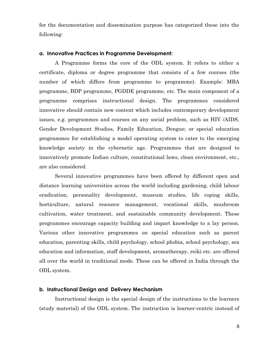for the documentation and dissemination purpose has categorized these into the following:

### **a. Innovative Practices in Programme Development:**

A Programme forms the core of the ODL system. It refers to either a certificate, diploma or degree programme that consists of a few courses (the number of which differs from programme to programme). Example: MBA programme, BDP programme, PGDDE programme, etc. The main component of a programme comprises instructional design. The programmes considered innovative should contain new content which includes contemporary development issues, e.g. programmes and courses on any social problem, such as HIV /AIDS, Gender Development Studies, Family Education, Dengue; or special education programmes for establishing a model operating system to cater to the emerging knowledge society in the cybernetic age. Programmes that are designed to innovatively promote Indian culture, constitutional laws, clean environment, etc., are also considered.

Several innovative programmes have been offered by different open and distance learning universities across the world including gardening, child labour eradication, personality development, museum studies, life coping skills, horticulture, natural resource management, vocational skills, mushroom cultivation, water treatment, and sustainable community development. These programmes encourage capacity building and impart knowledge to a lay person. Various other innovative programmes on special education such as parent education, parenting skills, child psychology, school phobia, school psychology, sex education and information, staff development, aromatherapy, reiki etc. are offered all over the world in traditional mode. These can be offered in India through the ODL system.

#### **b. Instructional Design and Delivery Mechanism**

Instructional design is the special design of the instructions to the learners (study material) of the ODL system. The instruction is learner-centric instead of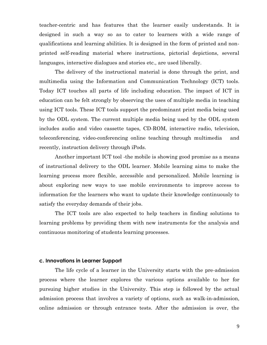teacher-centric and has features that the learner easily understands. It is designed in such a way so as to cater to learners with a wide range of qualifications and learning abilities. It is designed in the form of printed and nonprinted self-reading material where instructions, pictorial depictions, several languages, interactive dialogues and stories etc., are used liberally.

The delivery of the instructional material is done through the print, and multimedia using the Information and Communication Technology (ICT) tools. Today ICT touches all parts of life including education. The impact of ICT in education can be felt strongly by observing the uses of multiple media in teaching using ICT tools. These ICT tools support the predominant print media being used by the ODL system. The current multiple media being used by the ODL system includes audio and video cassette tapes, CD-ROM, interactive radio, television, teleconferencing, video-conferencing online teaching through multimedia and recently, instruction delivery through iPods.

Another important ICT tool -the mobile is showing good promise as a means of instructional delivery to the ODL learner. Mobile learning aims to make the learning process more flexible, accessible and personalized. Mobile learning is about exploring new ways to use mobile environments to improve access to information for the learners who want to update their knowledge continuously to satisfy the everyday demands of their jobs.

The ICT tools are also expected to help teachers in finding solutions to learning problems by providing them with new instruments for the analysis and continuous monitoring of students learning processes.

### **c. Innovations in Learner Support**

The life cycle of a learner in the University starts with the pre-admission process where the learner explores the various options available to her for pursuing higher studies in the University. This step is followed by the actual admission process that involves a variety of options, such as walk-in-admission, online admission or through entrance tests. After the admission is over, the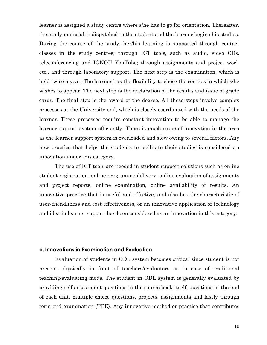learner is assigned a study centre where s/he has to go for orientation. Thereafter, the study material is dispatched to the student and the learner begins his studies. During the course of the study, her/his learning is supported through contact classes in the study centres; through ICT tools, such as audio, video CDs, teleconferencing and IGNOU YouTube; through assignments and project work etc., and through laboratory support. The next step is the examination, which is held twice a year. The learner has the flexibility to chose the courses in which s/he wishes to appear. The next step is the declaration of the results and issue of grade cards. The final step is the award of the degree. All these steps involve complex processes at the University end, which is closely coordinated with the needs of the learner. These processes require constant innovation to be able to manage the learner support system efficiently. There is much scope of innovation in the area as the learner support system is overloaded and slow owing to several factors. Any new practice that helps the students to facilitate their studies is considered an innovation under this category.

The use of ICT tools are needed in student support solutions such as online student registration, online programme delivery, online evaluation of assignments and project reports, online examination, online availability of results. An innovative practice that is useful and effective; and also has the characteristic of user-friendliness and cost effectiveness, or an innovative application of technology and idea in learner support has been considered as an innovation in this category.

### **d. Innovations in Examination and Evaluation**

Evaluation of students in ODL system becomes critical since student is not present physically in front of teachers/evaluators as in case of traditional teaching/evaluating mode. The student in ODL system is generally evaluated by providing self assessment questions in the course book itself, questions at the end of each unit, multiple choice questions, projects, assignments and lastly through term end examination (TEE). Any innovative method or practice that contributes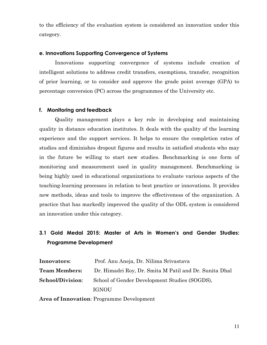to the efficiency of the evaluation system is considered an innovation under this category.

### **e. Innovations Supporting Convergence of Systems**

Innovations supporting convergence of systems include creation of intelligent solutions to address credit transfers, exemptions, transfer, recognition of prior learning, or to consider and approve the grade point average (GPA) to percentage conversion (PC) across the programmes of the University etc.

### **f. Monitoring and feedback**

Quality management plays a key role in developing and maintaining quality in distance education institutes. It deals with the quality of the learning experience and the support services. It helps to ensure the completion rates of studies and diminishes dropout figures and results in satisfied students who may in the future be willing to start new studies. Benchmarking is one form of monitoring and measurement used in quality management. Benchmarking is being highly used in educational organizations to evaluate various aspects of the teaching-learning processes in relation to best practice or innovations. It provides new methods, ideas and tools to improve the effectiveness of the organization. A practice that has markedly improved the quality of the ODL system is considered an innovation under this category.

# **3.1 Gold Medal 2015: Master of Arts in Women's and Gender Studies: Programme Development**

| Prof. Anu Aneja, Dr. Nilima Srivastava                                         |  |
|--------------------------------------------------------------------------------|--|
| Dr. Himadri Roy, Dr. Smita M Patil and Dr. Sunita Dhal<br><b>Team Members:</b> |  |
| School of Gender Development Studies (SOGDS),                                  |  |
| <b>IGNOU</b>                                                                   |  |
|                                                                                |  |

**Area of Innovation**: Programme Development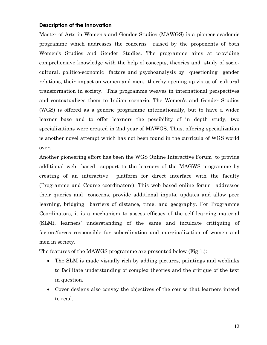### **Description of the Innovation**

Master of Arts in Women's and Gender Studies (MAWGS) is a pioneer academic programme which addresses the concerns raised by the proponents of both Women's Studies and Gender Studies. The programme aims at providing comprehensive knowledge with the help of concepts, theories and study of sociocultural, politico-economic factors and psychoanalysis by questioning gender relations, their impact on women and men, thereby opening up vistas of cultural transformation in society. This programme weaves in international perspectives and contextualizes them to Indian scenario. The Women's and Gender Studies (WGS) is offered as a generic programme internationally, but to have a wider learner base and to offer learners the possibility of in depth study, two specializations were created in 2nd year of MAWGS. Thus, offering specialization is another novel attempt which has not been found in the curricula of WGS world over.

Another pioneering effort has been the WGS Online Interactive Forum to provide additional web based support to the learners of the MAGWS programme by creating of an interactive platform for direct interface with the faculty (Programme and Course coordinators). This web based online forum addresses their queries and concerns, provide additional inputs, updates and allow peer learning, bridging barriers of distance, time, and geography. For Programme Coordinators, it is a mechanism to assess efficacy of the self learning material (SLM), learners' understanding of the same and inculcate critiquing of factors/forces responsible for subordination and marginalization of women and men in society.

The features of the MAWGS programme are presented below (Fig 1.):

- The SLM is made visually rich by adding pictures, paintings and weblinks to facilitate understanding of complex theories and the critique of the text in question.
- Cover designs also convey the objectives of the course that learners intend to read.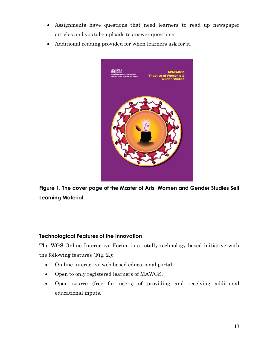- Assignments have questions that need learners to read up newspaper articles and youtube uploads to answer questions.
- Additional reading provided for when learners ask for it.



**Figure 1. The cover page of the Master of Arts Women and Gender Studies Self Learning Material.**

### **Technological Features of the Innovation**

The WGS Online Interactive Forum is a totally technology based initiative with the following features (Fig. 2.):

- On line interactive web based educational portal.
- Open to only registered learners of MAWGS.
- Open source (free for users) of providing and receiving additional educational inputs.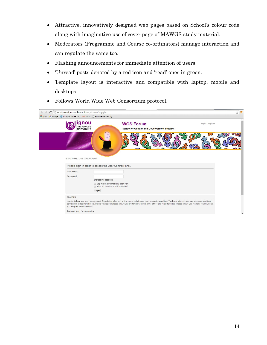- Attractive, innovatively designed web pages based on School's colour code along with imaginative use of cover page of MAWGS study material.
- Moderators (Programme and Course co-ordinators) manage interaction and can regulate the same too.
- Flashing announcements for immediate attention of users.
- 'Unread' posts denoted by a red icon and 'read' ones in green.
- Template layout is interactive and compatible with laptop, mobile and desktops.

| Wgsforum.ignouonline.ac.in/wgsforum/ucp.php<br>C<br>$\leftarrow$<br>ಾ  |                                                                          |                                                                                                                                                                                                                                                                                                                                                     |                  | $\frac{1}{2}$ = |
|------------------------------------------------------------------------|--------------------------------------------------------------------------|-----------------------------------------------------------------------------------------------------------------------------------------------------------------------------------------------------------------------------------------------------------------------------------------------------------------------------------------------------|------------------|-----------------|
| :.: Apps G Google (S IGNOU - The People M Gmail   PNB internet banking |                                                                          |                                                                                                                                                                                                                                                                                                                                                     |                  |                 |
|                                                                        | nou<br>THE PEOPLE'S<br><b>UNIVERSITY</b>                                 | <b>WGS Forum</b><br>School of Gender and Development Studies                                                                                                                                                                                                                                                                                        | Login   Register |                 |
|                                                                        |                                                                          |                                                                                                                                                                                                                                                                                                                                                     |                  |                 |
| Board index < User Control Panel                                       | Please login in order to access the User Control Panel.                  |                                                                                                                                                                                                                                                                                                                                                     |                  |                 |
|                                                                        |                                                                          |                                                                                                                                                                                                                                                                                                                                                     |                  |                 |
| Username:                                                              |                                                                          |                                                                                                                                                                                                                                                                                                                                                     |                  |                 |
| Password:                                                              |                                                                          |                                                                                                                                                                                                                                                                                                                                                     |                  |                 |
|                                                                        | I forgot my password                                                     |                                                                                                                                                                                                                                                                                                                                                     |                  |                 |
|                                                                        | Log me on automatically each visit<br>Hide my online status this session |                                                                                                                                                                                                                                                                                                                                                     |                  |                 |
|                                                                        | Login                                                                    |                                                                                                                                                                                                                                                                                                                                                     |                  |                 |
| <b>REGISTER</b>                                                        |                                                                          |                                                                                                                                                                                                                                                                                                                                                     |                  |                 |
| you navigate around the board.                                         |                                                                          | In order to login you must be registered. Registering takes only a few moments but gives you increased capabilities. The board administrator may also grant additional<br>permissions to registered users. Before you register please ensure you are familiar with our terms of use and related policies. Please ensure you read any forum rules as |                  |                 |
| Terms of use   Privacy policy                                          |                                                                          |                                                                                                                                                                                                                                                                                                                                                     |                  |                 |
|                                                                        |                                                                          |                                                                                                                                                                                                                                                                                                                                                     |                  |                 |

Follows World Wide Web Consortium protocol.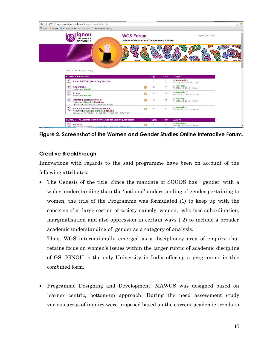

**Figure 2. Screenshot of the Women and Gender Studies Online Interactive Forum.**

### **Creative Breakthrough**

Innovations with regards to the said programme have been on account of the following attributes:

 The Genesis of the title: Since the mandate of SOGDS has ' gender' with a wider understanding than the 'notional' understanding of gender pertaining to women, the title of the Programme was formulated (1) to keep up with the concerns of a large section of society namely, women, who face subordination, marginalisation and also oppression in certain ways ( 2) to include a broader academic understanding of gender as a category of analysis.

Thus, WGS internationally emerged as a disciplinary area of enquiry that retains focus on women's issues within the larger rubric of academic discipline of GS. IGNOU is the only University in India offering a programme in this combined form.

 Programme Designing and Development: MAWGS was designed based on learner centric, bottom-up approach. During the need assessment study various areas of inquiry were proposed based on the current academic trends in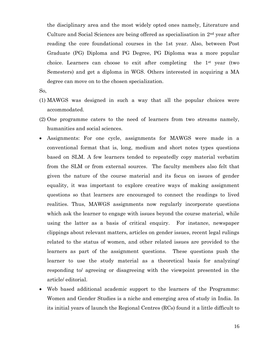the disciplinary area and the most widely opted ones namely, Literature and Culture and Social Sciences are being offered as specialisation in 2nd year after reading the core foundational courses in the 1st year. Also, between Post Graduate (PG) Diploma and PG Degree, PG Diploma was a more popular choice. Learners can choose to exit after completing the 1st year (two Semesters) and get a diploma in WGS. Others interested in acquiring a MA degree can move on to the chosen specialization.

So,

- (1) MAWGS was designed in such a way that all the popular choices were accommodated.
- (2) One programme caters to the need of learners from two streams namely, humanities and social sciences.
- Assignments: For one cycle, assignments for MAWGS were made in a conventional format that is, long, medium and short notes types questions based on SLM. A few learners tended to repeatedly copy material verbatim from the SLM or from external sources. The faculty members also felt that given the nature of the course material and its focus on issues of gender equality, it was important to explore creative ways of making assignment questions so that learners are encouraged to connect the readings to lived realities. Thus, MAWGS assignments now regularly incorporate questions which ask the learner to engage with issues beyond the course material, while using the latter as a basis of critical enquiry. For instance, newspaper clippings about relevant matters, articles on gender issues, recent legal rulings related to the status of women, and other related issues are provided to the learners as part of the assignment questions. These questions push the learner to use the study material as a theoretical basis for analyzing/ responding to/ agreeing or disagreeing with the viewpoint presented in the article/ editorial.
- Web based additional academic support to the learners of the Programme: Women and Gender Studies is a niche and emerging area of study in India. In its initial years of launch the Regional Centres (RCs) found it a little difficult to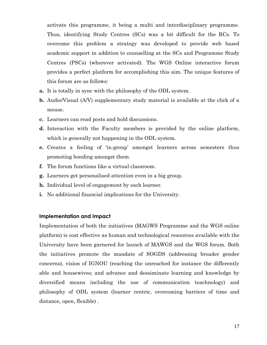activate this programme, it being a multi and interdisciplinary programme. Thus, identifying Study Centres (SCs) was a bit difficult for the RCs. To overcome this problem a strategy was developed to provide web based academic support in addition to counselling at the SCs and Programme Study Centres (PSCs) (wherever activated). The WGS Online interactive forum provides a perfect platform for accomplishing this aim. The unique features of this forum are as follows:

- **a.** It is totally in sync with the philosophy of the ODL system.
- **b.** Audio/Visual (A/V) supplementary study material is available at the click of a mouse.
- **c.** Learners can read posts and hold discussions.
- **d.** Interaction with the Faculty members is provided by the online platform, which is generally not happening in the ODL system.
- **e.** Creates a feeling of 'in-group' amongst learners across semesters thus promoting bonding amongst them.
- **f.** The forum functions like a virtual classroom.
- **g.** Learners get personalised attention even in a big group.
- **h.** Individual level of engagement by each learner.
- **i.** No additional financial implications for the University.

### **Implementation and Impact**

Implementation of both the initiatives (MAGWS Programme and the WGS online platform) is cost effective as human and technological resources available with the University have been garnered for launch of MAWGS and the WGS forum. Both the initiatives promote the mandate of SOGDS (addressing broader gender concerns), vision of IGNOU (reaching the unreached for instance the differently able and housewives; and advance and dessiminate learning and knowledge by diversified means including the use of communication teachnology) and philosophy of ODL system (learner centric, overcoming barriers of time and distance, open, flexible) .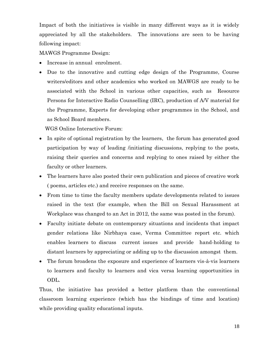Impact of both the initiatives is visible in many different ways as it is widely appreciated by all the stakeholders. The innovations are seen to be having following impact:

MAWGS Programme Design:

- Increase in annual enrolment.
- Due to the innovative and cutting edge design of the Programme, Course writers/editors and other academics who worked on MAWGS are ready to be associated with the School in various other capacities, such as Resource Persons for Interactive Radio Counselling (IRC), production of A/V material for the Programme, Experts for developing other programmes in the School, and as School Board members.

WGS Online Interactive Forum:

- In spite of optional registration by the learners, the forum has generated good participation by way of leading /initiating discussions, replying to the posts, raising their queries and concerns and replying to ones raised by either the faculty or other learners.
- The learners have also posted their own publication and pieces of creative work ( poems, articles etc.) and receive responses on the same.
- From time to time the faculty members update developments related to issues raised in the text (for example, when the Bill on Sexual Harassment at Workplace was changed to an Act in 2012, the same was posted in the forum).
- Faculty initiate debate on contemporary situations and incidents that impact gender relations like Nirbhaya case, Verma Committee report etc. which enables learners to discuss current issues and provide hand-holding to distant learners by appreciating or adding up to the discussion amongst them.
- The forum broadens the exposure and experience of learners vis-à-vis learners to learners and faculty to learners and vica versa learning opportunities in ODL.

Thus, the initiative has provided a better platform than the conventional classroom learning experience (which has the bindings of time and location) while providing quality educational inputs.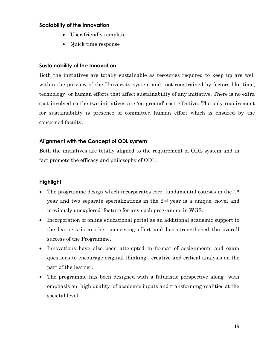### **Scalability of the Innovation**

- User-friendly template
- Quick time response

### **Sustainability of the Innovation**

Both the initiatives are totally sustainable as resources required to keep up are well within the purview of the University system and not constrained by factors like time, technology or human efforts that affect sustainability of any initiative. There is no extra cost involved so the two initiatives are 'on ground' cost effective. The only requirement for sustainability is presence of committed human effort which is ensured by the concerned faculty.

### **Alignment with the Concept of ODL system**

Both the initiatives are totally aligned to the requirement of ODL system and in fact promote the efficacy and philosophy of ODL.

### **Highlight**

- The programme design which incorporates core, fundamental courses in the 1<sup>st</sup> year and two separate specializations in the 2nd year is a unique, novel and previously unexplored feature for any such programme in WGS.
- Incorporation of online educational portal as an additional academic support to the learners is another pioneering effort and has strengthened the overall success of the Programme.
- Innovations have also been attempted in format of assignments and exam questions to encourage original thinking , creative and critical analysis on the part of the learner.
- The programme has been designed with a futuristic perspective along with emphasis on high quality of academic inputs and transforming realities at the societal level.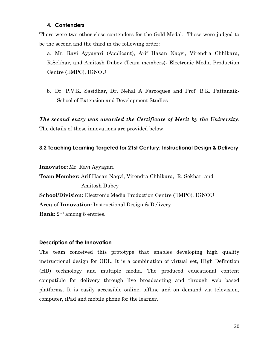### **4. Contenders**

There were two other close contenders for the Gold Medal. These were judged to be the second and the third in the following order:

a. Mr. Ravi Ayyagari (Applicant), Arif Hasan Naqvi, Virendra Chhikara, R.Sekhar, and Amitosh Dubey (Team members)- Electronic Media Production Centre (EMPC), IGNOU

b. Dr. P.V.K. Sasidhar, Dr. Nehal A Farooquee and Prof. B.K. Pattanaik-School of Extension and Development Studies

*The second entry was awarded the Certificate of Merit by the University*. The details of these innovations are provided below.

### **3.2 Teaching Learning Targeted for 21st Century: Instructional Design & Delivery**

**Innovator:** Mr. Ravi Ayyagari

**Team Member:** Arif Hasan Naqvi, Virendra Chhikara, R. Sekhar, and Amitosh Dubey **School/Division:** Electronic Media Production Centre (EMPC), IGNOU **Area of Innovation:** Instructional Design & Delivery **Rank:** 2nd among 8 entries.

### **Description of the Innovation**

The team conceived this prototype that enables developing high quality instructional design for ODL. It is a combination of virtual set, High Definition (HD) technology and multiple media. The produced educational content compatible for delivery through live broadcasting and through web based platforms. It is easily accessible online, offline and on demand via television, computer, iPad and mobile phone for the learner.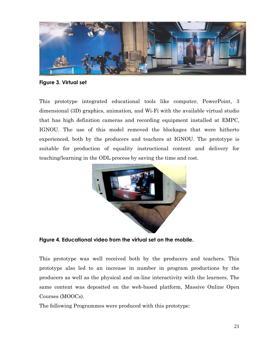

**Figure 3. Virtual set**

This prototype integrated educational tools like computer, PowerPoint, 3 dimensional (3D) graphics, animation, and Wi-Fi with the available virtual studio that has high definition cameras and recording equipment installed at EMPC, IGNOU. The use of this model removed the blockages that were hitherto experienced, both by the producers and teachers at IGNOU. The prototype is suitable for production of equality instructional content and delivery for teaching/learning in the ODL process by saving the time and cost.



**Figure 4. Educational video from the virtual set on the mobile.**

This prototype was well received both by the producers and teachers. This prototype also led to an increase in number in program productions by the producers as well as the physical and on-line interactivity with the learners. The same content was deposited on the web-based platform, Massive Online Open Courses (MOOCs).

The following Programmes were produced with this prototype: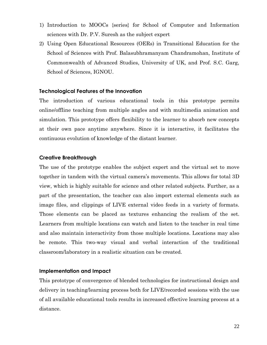- 1) Introduction to MOOCs {series} for School of Computer and Information sciences with Dr. P.V. Suresh as the subject expert
- 2) Using Open Educational Resources (OERs) in Transitional Education for the School of Sciences with Prof. Balasubhramanyam Chandramohan, Institute of Commonwealth of Advanced Studies, University of UK, and Prof. S.C. Garg, School of Sciences, IGNOU.

### **Technological Features of the Innovation**

The introduction of various educational tools in this prototype permits online/offline teaching from multiple angles and with multimedia animation and simulation. This prototype offers flexibility to the learner to absorb new concepts at their own pace anytime anywhere. Since it is interactive, it facilitates the continuous evolution of knowledge of the distant learner.

### **Creative Breakthrough**

The use of the prototype enables the subject expert and the virtual set to move together in tandem with the virtual camera's movements. This allows for total 3D view, which is highly suitable for science and other related subjects. Further, as a part of the presentation, the teacher can also import external elements such as image files, and clippings of LIVE external video feeds in a variety of formats. Those elements can be placed as textures enhancing the realism of the set. Learners from multiple locations can watch and listen to the teacher in real time and also maintain interactivity from those multiple locations. Locations may also be remote. This two-way visual and verbal interaction of the traditional classroom/laboratory in a realistic situation can be created.

### **Implementation and Impact**

This prototype of convergence of blended technologies for instructional design and delivery in teaching/learning process both for LIVE/recorded sessions with the use of all available educational tools results in increased effective learning process at a distance.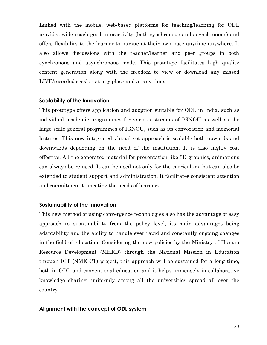Linked with the mobile, web-based platforms for teaching/learning for ODL provides wide reach good interactivity (both synchronous and asynchronous) and offers flexibility to the learner to pursue at their own pace anytime anywhere. It also allows discussions with the teacher/learner and peer groups in both synchronous and asynchronous mode. This prototype facilitates high quality content generation along with the freedom to view or download any missed LIVE/recorded session at any place and at any time.

### **Scalability of the Innovation**

This prototype offers application and adoption suitable for ODL in India, such as individual academic programmes for various streams of IGNOU as well as the large scale general programmes of IGNOU, such as its convocation and memorial lectures. This new integrated virtual set approach is scalable both upwards and downwards depending on the need of the institution. It is also highly cost effective. All the generated material for presentation like 3D graphics, animations can always be re-used. It can be used not only for the curriculum, but can also be extended to student support and administration. It facilitates consistent attention and commitment to meeting the needs of learners.

### **Sustainability of the Innovation**

This new method of using convergence technologies also has the advantage of easy approach to sustainability from the policy level, its main advantages being adaptability and the ability to handle ever rapid and constantly ongoing changes in the field of education. Considering the new policies by the Ministry of Human Resource Development (MHRD) through the National Mission in Education through ICT (NMEICT) project, this approach will be sustained for a long time, both in ODL and conventional education and it helps immensely in collaborative knowledge sharing, uniformly among all the universities spread all over the country

### **Alignment with the concept of ODL system**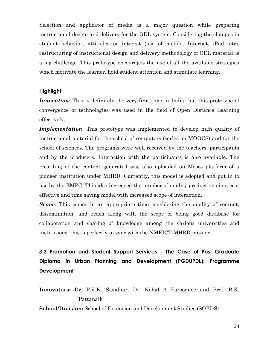Selection and applicator of media is a major question while preparing instructional design and delivery for the ODL system. Considering the changes in student behavior, attitudes or interest (use of mobile, Internet, iPad, etc), restructuring of instructional design and delivery methodology of ODL material is a big challenge. This prototype encourages the use of all the available strategies which motivate the learner, hold student attention and stimulate learning.

### **Highlight**

*Innovation*: This is definitely the very first time in India that this prototype of convergence of technologies was used in the field of Open Distance Learning effectively.

*Implementation*: This prototype was implemented to develop high quality of instructional material for the school of computers (series on MOOCS) and for the school of sciences. The programs were well received by the teachers, participants and by the producers. Interaction with the participants is also available. The recording of the content generated was also uploaded on Moocs platform of a pioneer institution under MHRD. Currently, this model is adopted and put in to use by the EMPC. This also increased the number of quality productions in a cost effective and time saving model with increased scope of interaction.

*Scope*: This comes in an appropriate time considering the quality of content, dissemination, and reach along with the scope of being good database for collaboration and sharing of knowledge among the various universities and institutions, this is perfectly in sync with the NMEICT-MHRD mission.

# **3.3 Promotion and Student Support Services - The Case of Post Graduate Diploma in Urban Planning and Development (PGDUPDL): Programme Development**

**Innovators:** Dr. P.V.K. Sasidhar, Dr. Nehal A Farooquee and Prof. B.K. Pattanaik

**School/Division:** School of Extension and Development Studies (SOEDS)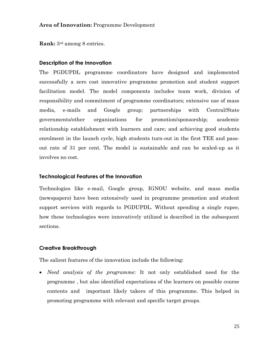### **Area of Innovation:** Programme Development

**Rank:** 3rd among 8 entries.

### **Description of the Innovation**

The PGDUPDL programme coordinators have designed and implemented successfully a zero cost innovative programme promotion and student support facilitation model. The model components includes team work, division of responsibility and commitment of programme coordinators; extensive use of mass media, e-mails and Google group; partnerships with Central/State governments/other organizations for promotion/sponsorship; academic relationship establishment with learners and care; and achieving good students enrolment in the launch cycle, high students turn-out in the first TEE and passout rate of 31 per cent. The model is sustainable and can be scaled-up as it involves no cost.

### **Technological Features of the Innovation**

Technologies like e-mail, Google group, IGNOU website, and mass media (newspapers) have been extensively used in programme promotion and student support services with regards to PGDUPDL. Without spending a single rupee, how these technologies were innovatively utilized is described in the subsequent sections.

### **Creative Breakthrough**

The salient features of the innovation include the following:

 *Need analysis of the programme*: It not only established need for the programme , but also identified expectations of the learners on possible course contents and important likely takers of this programme. This helped in promoting programme with relevant and specific target groups.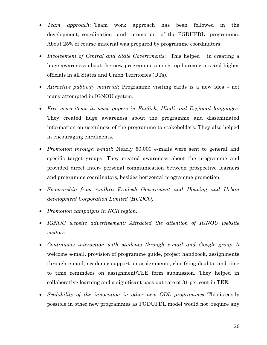- *Team approach*: Team work approach has been followed in the development, coordination and promotion of the PGDUPDL programme. About 25% of course material was prepared by programme coordinators.
- *Involvement of Central and State Governments*: This helped in creating a huge awareness about the new programme among top bureaucrats and higher officials in all States and Union Territories (UTs).
- *Attractive publicity material*: Programme visiting cards is a new idea not many attempted in IGNOU system.
- *Free news items in news papers in English, Hindi and Regional languages*: They created huge awareness about the programme and disseminated information on usefulness of the programme to stakeholders. They also helped in encouraging enrolments.
- *Promotion through e-mail*: Nearly 50,000 e-mails were sent to general and specific target groups. They created awareness about the programme and provided direct inter- personal communication between prospective learners and programme coordinators, besides horizontal programme promotion.
- *Sponsorship from Andhra Pradesh Government and Housing and Urban development Corporation Limited (HUDCO).*
- *Promotion campaigns in NCR region.*
- *IGNOU website advertisement: Attracted the attention of IGNOU website visitors.*
- *Continuous interaction with students through e-mail and Google group*: A welcome e-mail, provision of programme guide, project handbook, assignments through e-mail, academic support on assignments, clarifying doubts, and time to time reminders on assignment/TEE form submission. They helped in collaborative learning and a significant pass-out rate of 31 per cent in TEE.
- *Scalability of the innovation in other new ODL programmes*: This is easily possible in other new programmes as PGDUPDL model would not require any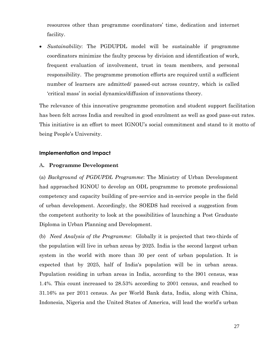resources other than programme coordinators' time, dedication and internet facility.

 *Sustainability*: The PGDUPDL model will be sustainable if programme coordinators minimize the faulty process by division and identification of work, frequent evaluation of involvement, trust in team members, and personal responsibility. The programme promotion efforts are required until a sufficient number of learners are admitted/ passed-out across country, which is called 'critical mass' in social dynamics/diffusion of innovations theory.

The relevance of this innovative programme promotion and student support facilitation has been felt across India and resulted in good enrolment as well as good pass-out rates. This initiative is an effort to meet IGNOU's social commitment and stand to it motto of being People's University.

### **Implementation and Impact**

### A**. Programme Development**

(a) *Background of PGDUPDL Programme*: The Ministry of Urban Development had approached IGNOU to develop an ODL programme to promote professional competency and capacity building of pre-service and in-service people in the field of urban development. Accordingly, the SOEDS had received a suggestion from the competent authority to look at the possibilities of launching a Post Graduate Diploma in Urban Planning and Development.

(b) *Need Analysis of the Programme*: Globally it is projected that two-thirds of the population will live in urban areas by 2025. India is the second largest urban system in the world with more than 30 per cent of urban population. It is expected that by 2025, half of India's population will be in urban areas. Population residing in urban areas in India, according to the l901 census, was 1.4%. This count increased to 28.53% according to 2001 census, and reached to 31.16% as per 2011 census. As per World Bank data, India, along with China, Indonesia, Nigeria and the United States of America, will lead the world's urban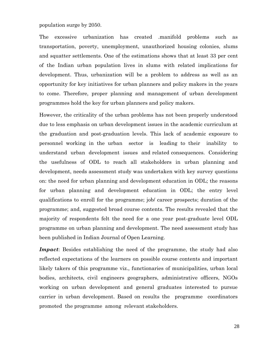population surge by 2050.

The excessive urbanization has created .manifold problems such as transportation, poverty, unemployment, unauthorized housing colonies, slums and squatter settlements. One of the estimations shows that at least 33 per cent of the Indian urban population lives in slums with related implications for development. Thus, urbanization will be a problem to address as well as an opportunity for key initiatives for urban planners and policy makers in the years to come. Therefore, proper planning and management of urban development programmes hold the key for urban planners and policy makers.

However, the criticality of the urban problems has not been properly understood due to less emphasis on urban development issues in the academic curriculum at the graduation and post-graduation levels. This lack of academic exposure to personnel working in the urban sector is leading to their inability to understand urban development issues and related consequences. Considering the usefulness of ODL to reach all stakeholders in urban planning and development, needs assessment study was undertaken with key survey questions on: the need for urban planning and development education in ODL; the reasons for urban planning and development education in ODL; the entry level qualifications to enroll for the programme; job/ career prospects; duration of the programme; and, suggested broad course contents. The results revealed that the majority of respondents felt the need for a one year post-graduate level ODL programme on urban planning and development. The need assessment study has been published in Indian Journal of Open Learning.

*Impact*: Besides establishing the need of the programme, the study had also reflected expectations of the learners on possible course contents and important likely takers of this programme viz., functionaries of municipalities, urban local bodies, architects, civil engineers geographers, administrative officers, NGOs working on urban development and general graduates interested to pursue carrier in urban development. Based on results the programme coordinators promoted the programme among relevant stakeholders.

28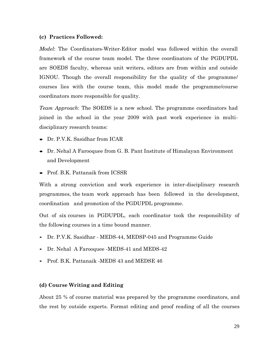### **(c) Practices Followed:**

*Model*: The Coordinators-Writer-Editor model was followed within the overall framework of the course team model. The three coordinators of the PGDUPDL are SOEDS faculty, whereas unit writers, editors are from within and outside IGNOU. Though the overall responsibility for the quality of the programme/ courses lies with the course team, this model made the programme/course coordinators more responsible for quality.

*Team Approach*: The SOEDS is a new school. The programme coordinators had joined in the school in the year 2009 with past work experience in multidisciplinary research teams:

- Dr. P.V.K. Sasidhar from ICAR
- Dr. Nehal A Farooquee from G. B. Pant Institute of Himalayan Environment and Development
- Prof. B.K. Pattanaik from ICSSR

With a strong conviction and work experience in inter-disciplinary research programmes, the team work approach has been followed in the development, coordination and promotion of the PGDUPDL programme.

Out of six courses in PGDUPDL, each coordinator took the responsibility of the following courses in a time bound manner.

- Dr. P.V.K. Sasidhar MEDS-44, MEDSP-045 and Programme Guide
- Dr. Nehal A Farooquee -MEDS-41 and MEDS-42
- Prof. B.K. Pattanaik -MEDS 43 and MEDSE 46

### **(d) Course Writing and Editing**

About 25 % of course material was prepared by the programme coordinators, and the rest by outside experts. Format editing and proof reading of all the courses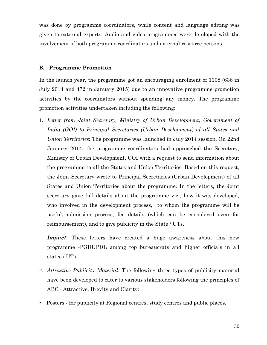was done by programme coordinators, while content and language editing was given to external experts. Audio and video programmes were de eloped with the involvement of both programme coordinators and external resource persons.

### B**. Programme Promotion**

In the launch year, the programme got an encouraging enrolment of 1108 (636 in July 2014 and 472 in January 2015) due to an innovative programme promotion activities by the coordinators without spending any money. The programme promotion activities undertaken including the following:

1. *Letter from Joint Secretary, Ministry of Urban Development, Government of India (GOI) to Principal Secretaries (Urban Development) of all States and Union Territories***:** The programme was launched in July 2014 session. On 22nd January 2014, the programme coordinators had approached the Secretary, Ministry of Urban Development, GOI with a request to send information about the programme to all the States and Union Territories. Based on this request, the Joint Secretary wrote to Principal Secretaries (Urban Development) of all States and Union Territories about the programme. In the letters, the Joint secretary gave full details about the programme viz., how it was developed, who involved in the development process, to whom the programme will be useful, admission process, fee details (which [can](http://caa.be/) be considered even for reimbursement), and to give publicity in the State / UTs.

*Impact*: These letters have created a huge awareness about this new programme -PGDUPDL among top bureaucrats and higher officials in all states / UTs.

- 2. *Attractive Publicity Material*: The following three types of publicity material have been developed to cater to various stakeholders following the principles of ABC - Attractive, Brevity and Clarity:
- Posters for publicity at Regional centres, study centres and public places.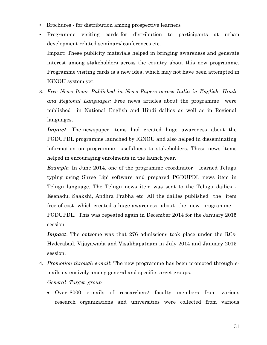- Brochures for distribution among prospective learners
- Programme visiting cards for distribution to participants at urban development related seminars/ conferences etc. Impact: These publicity materials helped in bringing awareness and generate interest among stakeholders across the country about this new programme. Programme visiting cards is a new idea, which may not have been attempted in IGNOU system yet.
- 3. *Free News Items Published in News Papers across India in English, Hindi and Regional Languages:* Free news articles about the programme were published in National English and Hindi dailies as well as in Regional languages.

*Impact*: The newspaper items had created huge awareness about the PGDUPDL programme launched by IGNOU and also helped in disseminating information on programme usefulness to stakeholders. These news items helped in encouraging enrolments in the launch year.

*Example*: In June 2014, one of the programme coordinator learned Telugu typing using Shree Lipi software and prepared PGDUPDL news item in Telugu language. The Telugu news item was sent to the Telugu dailies - Eeenadu, Saakshi, Andhra Prabha etc. All the dailies published the item free of cost which created a huge awareness about the new programme - PGDUPDL. This was repeated again in December 2014 for the January 2015 session.

*Impact*: The outcome was that 276 admissions took place under the RCs-Hyderabad, Vijayawada and Visakhapatnam in July 2014 and January 2015 session.

4. *Promotion through e-mail*: The new programme has been promoted through emails extensively among general and specific target groups.

*General Target group*

 Over 8000 e-mails of researchers/ faculty members from various research organizations and universities were collected from various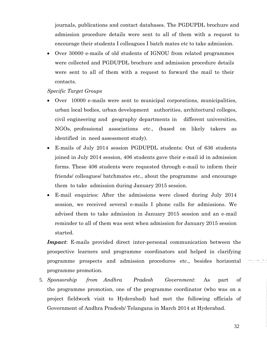journals, publications and contact databases. The PGDUPDL brochure and admission procedure details were sent to all of them with a request to encourage their students I colleagues I batch mates etc to take admission.

 Over 30000 e-mails of old students of IGNOU from related programmes were collected and PGDUPDL brochure and admission procedure details were sent to all of them with a request to forward the mail to their contacts.

### *Specific Target Groups*

- Over 10000 e-mails were sent to municipal corporations, municipalities, urban local bodies, urban development authorities, architectural colleges, civil engineering and geography departments in different universities, NGOs, professional associations etc., (based on likely takers as identified in need assessment study).
- E-mails of July 2014 session PGDUPDL students: Out of 636 students joined in July 2014 session, 406 students gave their e-mail id in admission forms. These 406 students were requested through e-mail to inform their friends/ colleagues/ batchmates etc., about the programme and encourage them to take admission during January 2015 session.
- E-mail enquiries: After the admissions were closed during July 2014 session, we received several e-mails I phone calls for admissions. We advised them to take admission in January 2015 session and an e-mail reminder to all of them was sent when admission for January 2015 session started.

*Impact*: E-mails provided direct inter-personal communication between the prospective learners and programme coordinators and helped in clarifying programme prospects and admission procedures etc., besides horizontal programme promotion.

5. *Sponsorship from Andhra Pradesh Government*: As part of the programme promotion, one of the programme coordinator (who was on a project fieldwork visit to Hyderabad) had met the following officials of Government of Andhra Pradesh/ Telangana in March 2014 at Hyderabad.

32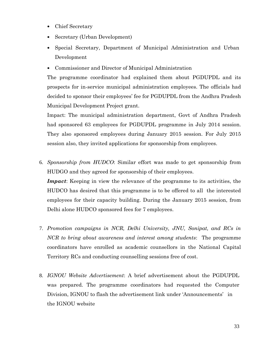- Chief Secretary
- Secretary (Urban Development)
- Special Secretary, Department of Municipal Administration and Urban Development
- Commissioner and Director of Municipal Administration

The programme coordinator had explained them about PGDUPDL and its prospects for in-service municipal administration employees. The officials had decided to sponsor their employees' fee for PGDUPDL from the Andhra Pradesh Municipal Development Project grant.

Impact: The municipal administration department, Govt of Andhra Pradesh had sponsored 63 employees for PGDUPDL programme in July 2014 session. They also sponsored employees during January 2015 session. For July 2015 session also, they invited applications for sponsorship from employees.

6. *Sponsorship from HUDCO*: Similar effort was made to get sponsorship from HUDGO and they agreed for sponsorship of their employees.

*Impact*: Keeping in view the relevance of the programme to its activities, the HUDCO has desired that this programme is to be offered to all the interested employees for their capacity building. During the January 2015 session, from Delhi alone HUDCO sponsored fees for 7 employees.

- 7. *Promotion campaigns in NCR, Delhi University, JNU, Sonipat, and RCs in NCR to bring about awareness and interest among students*: The programme coordinators have enrolled as academic counsellors in the National Capital Territory RCs and conducting counselling sessions free of cost.
- 8. *IGNOU Website Advertisement*: A brief advertisement about the PGDUPDL was prepared. The programme coordinators had requested the Computer Division, IGNOU to flash the advertisement link under 'Announcements' in the IGNOU website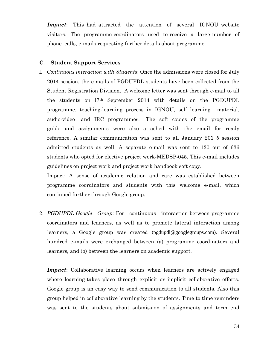*Impact*: This had attracted the attention of several IGNOU website visitors. The programme coordinators used to receive a large number of phone calls, e-mails requesting further details about programme.

### **C. Student Support Services**

l. *Continuous interaction with Students*: Once the admissions were closed for July 2014 session, the e-mails of PGDUPDL students have been collected from the Student Registration Division. A welcome letter was sent through e-mail to all the students on l7th September 2014 with details on the PGDUPDL programme, teaching-learning process in IGNOU, self learning material, audio-video and IRC programmes. The soft copies of the programme guide and assignments were also attached with the email for ready reference. A similar communication was sent to all January 201 5 session admitted students as well. A separate e-mail was sent to 120 out of 636 students who opted for elective project work-MEDSP-045. This e-mail includes guidelines on project work and project work handbook soft copy.

Impact: A sense of academic relation and care was established between programme coordinators and students with this welcome e-mail, which continued further through Google group.

2. *PGDUPDL Google Group*: For continuous interaction between programme coordinators and learners, as well as to promote lateral interaction among learners, a Google group was created ([pgdupdl@googlegroups.com](mailto:pgdupdl@googlegroups.com)). Several hundred e-mails were exchanged between (a) programme coordinators and learners, and (b) between the learners on academic support.

*Impact*: Collaborative learning occurs when learners are actively engaged where learning-takes place through explicit or implicit collaborative efforts. Google group is an easy way to send communication to all students. Also this group helped in collaborative learning by the students. Time to time reminders was sent to the students about submission of assignments and term end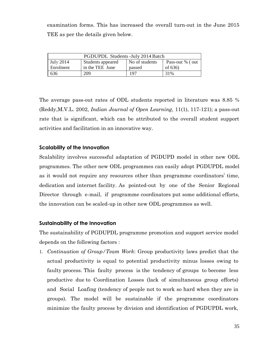examination forms. This has increased the overall turn-out in the June 2015 TEE as per the details given below.

| PGDUPDL Students - July 2014 Batch |                   |                |                  |
|------------------------------------|-------------------|----------------|------------------|
| <b>July 2014</b>                   | Students appeared | No of students | Pass-out % (out) |
| Enrolment                          | in the TEE June   | passed         | of $636$         |
| 636                                | 209               | 197            | 31%              |

The average pass-out rates of ODL students reported in literature was 8.85 % (Reddy,M.V.L. 2002, *Indian Journal of Open Learning*, 11(1), 117-121); a pass-out rate that is significant, which can be attributed to the overall student support activities and facilitation in an innovative way.

### **Scalability of the Innovation**

Scalability involves successful adaptation of PGDUPD model in other new ODL programmes. The other new ODL programmes can easily adopt PGDUPDL model as it would not require any resources other than programme coordinators' time, dedication and internet facility. As pointed-out by one of the Senior Regional Director through e-mail, if programme coordinators put some additional efforts, the innovation can be scaled-up in other new ODL programmes as well.

### **Sustainability of the Innovation**

The sustainability of PGDUPDL programme promotion and support service model depends on the following factors :

1. *Continuation of Group/Team Work*: Group productivity laws predict that the actual productivity is equal to potential productivity minus losses owing to faulty process. This faulty process is the tendency of groups to become less productive due to Coordination Losses (lack of simultaneous group efforts) and Social Loafing (tendency of people not to work so hard when they are in groups). The model will be sustainable if the programme coordinators minimize the faulty process by division and identification of PGDUPDL work,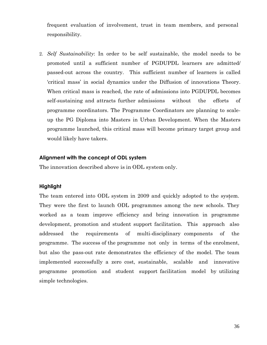frequent evaluation of involvement, trust in team members, and personal responsibility.

2. *Self Sustainability*: In order to be self sustainable, the model needs to be promoted until a sufficient number of PGDUPDL learners are admitted/ passed-out across the country. This sufficient number of learners is called 'critical mass' in social dynamics under the Diffusion of innovations Theory. When critical mass is reached, the rate of admissions into PGDUPDL becomes self-sustaining and attracts further admissions without the efforts of programme coordinators. The Programme Coordinators are planning to scaleup the PG Diploma into Masters in Urban Development. When the Masters programme launched, this critical mass will become primary target group and would likely have takers.

### **Alignment with the concept of ODL system**

The innovation described above is in ODL system only.

### **Highlight**

The team entered into ODL system in 2009 and quickly adopted to the system. They were the first to launch ODL programmes among the new schools. They worked as a team improve efficiency and bring innovation in programme development, promotion and student support facilitation. This approach also addressed the requirements of multi-disciplinary components of the programme. The success of the programme not only in terms of the enrolment, but also the pass-out rate demonstrates the efficiency of the model. The team implemented successfully a zero cost, sustainable, scalable and innovative programme promotion and student support facilitation model by utilizing simple technologies.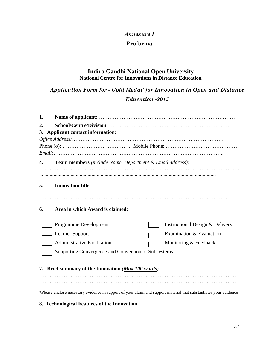### *Annexure I*

### **Proforma**

### **Indira Gandhi National Open University National Centre for Innovations in Distance Education**

*Application Form for -'Gold Medal' for Innovation in Open and Distance Education~2015*

| 1. |                                                                                                                   |
|----|-------------------------------------------------------------------------------------------------------------------|
| 2. |                                                                                                                   |
|    | 3. Applicant contact information:                                                                                 |
|    |                                                                                                                   |
|    |                                                                                                                   |
|    |                                                                                                                   |
| 4. | <b>Team members</b> (include Name, Department & Email address):                                                   |
|    |                                                                                                                   |
| 5. |                                                                                                                   |
|    | <b>Innovation title:</b>                                                                                          |
|    |                                                                                                                   |
| 6. | Area in which Award is claimed:                                                                                   |
|    | Programme Development<br>Instructional Design & Delivery                                                          |
|    | Learner Support<br>Examination & Evaluation                                                                       |
|    | <b>Administrative Facilitation</b><br>Monitoring & Feedback                                                       |
|    | Supporting Convergence and Conversion of Subsystems                                                               |
|    |                                                                                                                   |
|    | 7. Brief summary of the Innovation ( <i>Max 100 words</i> ):                                                      |
|    |                                                                                                                   |
|    |                                                                                                                   |
|    | *Please enclose necessary evidence in support of your claim and support material that substantiates your evidence |

### **8. Technological Features of the Innovation**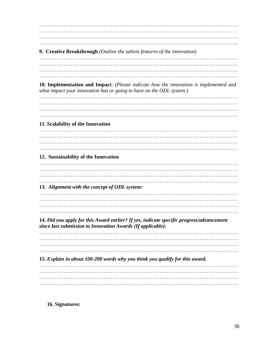**9. Creative Breakthrough** (Outline the salient features of the innovation) 10. Implementation and Impact: (Please indicate how the innovation is implemented and what impact your innovation has or going to have on the ODL system.) 11. Scalability of the Innovation 12. Sustainability of the Innovation 13. Alignment with the concept of ODL system: 14. Did you apply for this Award earlier? If yes, indicate specific progress/advancement since last submission to Innovation Awards (If applicable): 15. Explain in about 100-200 words why you think you qualify for this award. 

16. Signatures: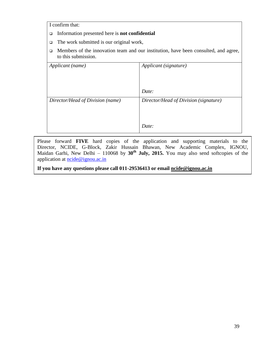I confirm that:

- Information presented here is **not confidential**
- $\Box$  The work submitted is our original work,
- $\Box$  Members of the innovation team and our institution, have been consulted, and agree, to this submission.

| Applicant (name)                 | Applicant (signature)                 |
|----------------------------------|---------------------------------------|
|                                  |                                       |
|                                  | Date:                                 |
| Director/Head of Division (name) | Director/Head of Division (signature) |
|                                  | Date:                                 |

Please forward **FIVE** hard copies of the application and supporting materials to the Director, NCIDE, G-Block, Zakir Hussain Bhawan, New Academic Complex, IGNOU, Maidan Garhi, New Delhi – 110068 by **30th July, 2015.** You may also send softcopies of the application at **ncide@ignou.ac.in** 

**If you have any questions please call 011-29536413 or email [ncide@ignou.ac.in](mailto:ncide@ignou.ac.in)**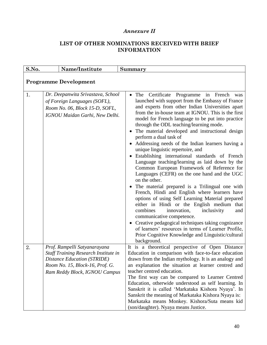## *Annexure II*

### **LIST OF OTHER NOMINATIONS RECEIVED WITH BRIEF INFORMATION**

| S.No. | Name/Institute                                                                                                                                                                        | Summary                                                                                                                                                                                                                                                                                                                                                                                                                                                                                                                                                                                                                                                                                                                                                                                                                                                                                                                                                                                                                                                                                                                                                                                 |
|-------|---------------------------------------------------------------------------------------------------------------------------------------------------------------------------------------|-----------------------------------------------------------------------------------------------------------------------------------------------------------------------------------------------------------------------------------------------------------------------------------------------------------------------------------------------------------------------------------------------------------------------------------------------------------------------------------------------------------------------------------------------------------------------------------------------------------------------------------------------------------------------------------------------------------------------------------------------------------------------------------------------------------------------------------------------------------------------------------------------------------------------------------------------------------------------------------------------------------------------------------------------------------------------------------------------------------------------------------------------------------------------------------------|
|       | <b>Programme Development</b>                                                                                                                                                          |                                                                                                                                                                                                                                                                                                                                                                                                                                                                                                                                                                                                                                                                                                                                                                                                                                                                                                                                                                                                                                                                                                                                                                                         |
| 1.    | Dr. Deepanwita Srivastava, School<br>of Foreign Languages (SOFL),<br>Room No. 06, Block 15-D, SOFL,<br>IGNOU Maidan Garhi, New Delhi.                                                 | The Certificate Programme in French<br>$\bullet$<br>was<br>launched with support from the Embassy of France<br>and experts from other Indian Universities apart<br>from the in-house team at IGNOU. This is the first<br>model for French language to be put into practice<br>through the ODL teaching/learning mode.<br>The material developed and instructional design<br>perform a dual task of<br>• Addressing needs of the Indian learners having a<br>unique linguistic repertoire, and<br>Establishing international standards of French<br>Language teaching/learning as laid down by the<br>Common European Framework of Reference for<br>Languages (CEFR) on the one hand and the UGC<br>on the other.<br>• The material prepared is a Trilingual one with<br>French, Hindi and English where learners have<br>options of using Self Learning Material prepared<br>either in Hindi or the English medium that<br>combines<br>inclusivity<br>innovation,<br>and<br>communicative competence.<br>• Creative pedagogical techniques taking cognizance<br>of learners' resources in terms of Learner Profile,<br>Prior Cognitive Knowledge and Linguistic/cultural<br>background. |
| 2.    | Prof. Rampelli Satyanarayana<br><b>Staff Training Research Institute in</b><br><b>Distance Education (STRIDE)</b><br>Room No. 15, Block-16, Prof. G.<br>Ram Reddy Block, IGNOU Campus | It is a theoretical perspective of Open Distance<br>Education in comparison with face-to-face education<br>drawn from the Indian mythology. It is an analogy and<br>an explanation the situation at learner centred and<br>teacher centred education.<br>The first way can be compared to Learner Centred<br>Education, otherwide understood as self learning. In<br>Sanskrit it is called 'Markataka Kishora Nyaya'. In<br>Sanskrit the meaning of Markataka Kishora Nyaya is:<br>Markataka means Monkey. Kishora/Suta means kid<br>(son/daughter). Nyaya means Justice.                                                                                                                                                                                                                                                                                                                                                                                                                                                                                                                                                                                                               |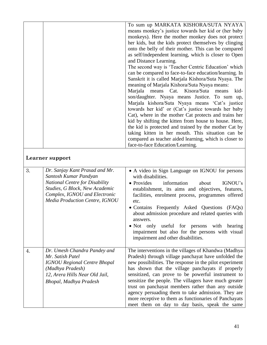|    |                                                                                                                                                                                                       | To sum up MARKATA KISHORA/SUTA NYAYA<br>means monkey's justice towards her kid or (her baby<br>monkeys). Here the mother monkey does not protect<br>her kids, but the kids protect themselves by clinging<br>onto the belly of their mother. This can be compared<br>as self/independent learning, which is closer to Open<br>and Distance Learning.<br>The second way is 'Teacher Centric Education' which<br>can be compared to face-to-face education/learning. In<br>Sanskrit it is called Marjala Kishora/Suta Nyaya. The<br>meaning of Marjala Kishora/Suta Nyaya means:<br>Marjala means Cat. Kisora/Suta<br>kid-<br>means<br>son/daughter. Nyaya means Justice. To sum up,<br>Marjala kishora/Suta Nyaya means 'Cat's justice<br>towards her kid' or (Cat's justice towards her baby<br>Cat), where in the mother Cat protects and trains her<br>kid by shifting the kitten from house to house. Here,<br>the kid is protected and trained by the mother Cat by<br>taking kitten in her mouth. This situation can be |
|----|-------------------------------------------------------------------------------------------------------------------------------------------------------------------------------------------------------|------------------------------------------------------------------------------------------------------------------------------------------------------------------------------------------------------------------------------------------------------------------------------------------------------------------------------------------------------------------------------------------------------------------------------------------------------------------------------------------------------------------------------------------------------------------------------------------------------------------------------------------------------------------------------------------------------------------------------------------------------------------------------------------------------------------------------------------------------------------------------------------------------------------------------------------------------------------------------------------------------------------------------|
|    |                                                                                                                                                                                                       | compared as teacher aided learning, which is closer to<br>face-to-face Education/Learning.                                                                                                                                                                                                                                                                                                                                                                                                                                                                                                                                                                                                                                                                                                                                                                                                                                                                                                                                   |
|    | Learner support                                                                                                                                                                                       |                                                                                                                                                                                                                                                                                                                                                                                                                                                                                                                                                                                                                                                                                                                                                                                                                                                                                                                                                                                                                              |
| 3. | Dr. Sanjay Kant Prasad and Mr.<br>Santosh Kumar Pandyan<br><b>National Centre for Disability</b><br>Studies, G Block, New Academic<br>Complex, IGNOU and Electronic<br>Media Production Centre, IGNOU | • A video in Sign Language on IGNOU for persons<br>with disabilities.<br>• Provides<br>information<br>IGNOU's<br>about<br>establishment, its aims and objectives, features,<br>facilities, enrolment process, programmes offered<br>etc.<br>• Contains Frequently Asked Questions (FAQs)<br>about admission procedure and related queries with<br>answers.<br>· Not only useful for persons with hearing<br>impairment but also for the persons with visual<br>impairment and other disabilities.                                                                                                                                                                                                                                                                                                                                                                                                                                                                                                                            |
| 4. | Dr. Umesh Chandra Pandey and<br>Mr. Satish Patel<br><b>IGNOU Regional Centre Bhopal</b><br>(Madhya Pradesh)<br>12, Arera Hills Near Old Jail,<br>Bhopal, Madhya Pradesh                               | The interventions in the villages of Khandwa (Madhya<br>Pradesh) through village panchayat have unfolded the<br>new possibilities. The response in the pilot experiment<br>has shown that the village panchayats if properly<br>sensitized, can prove to be powerful instrument to<br>sensitize the people. The villagers have much greater<br>trust on panchayat members rather than any outside<br>agency persuading them to take admission. They are<br>more receptive to them as functionaries of Panchayats<br>meet them on day to day basis, speak the same                                                                                                                                                                                                                                                                                                                                                                                                                                                            |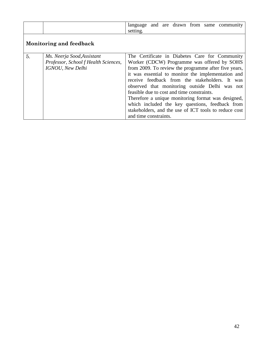|                                |                                                                                                | language and are drawn from same community<br>setting.                                                                                                                                                                                                                                                                                                                                                                                                                                                                                                   |
|--------------------------------|------------------------------------------------------------------------------------------------|----------------------------------------------------------------------------------------------------------------------------------------------------------------------------------------------------------------------------------------------------------------------------------------------------------------------------------------------------------------------------------------------------------------------------------------------------------------------------------------------------------------------------------------------------------|
| <b>Monitoring and feedback</b> |                                                                                                |                                                                                                                                                                                                                                                                                                                                                                                                                                                                                                                                                          |
| 5.                             | Ms. Neerja Sood, Assistant<br>Professor, School f Health Sciences,<br><b>IGNOU</b> , New Delhi | The Certificate in Diabetes Care for Community<br>Worker (CDCW) Programme was offered by SOHS<br>from 2009. To review the programme after five years,<br>it was essential to monitor the implementation and<br>receive feedback from the stakeholders. It was<br>observed that monitoring outside Delhi was not<br>feasible due to cost and time constraints.<br>Therefore a unique monitoring format was designed,<br>which included the key questions, feedback from<br>stakeholders, and the use of ICT tools to reduce cost<br>and time constraints. |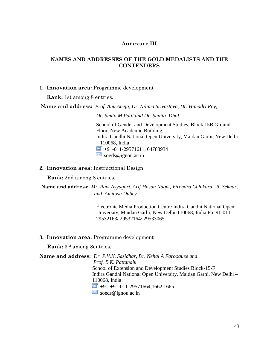### **Annexure III**

### **NAMES AND ADDRESSES OF THE GOLD MEDALISTS AND THE CONTENDERS**

### **1. Innovation area:** Programme development

**Rank:** 1st among 8 entries.

**Name and address:** *Prof. Anu Aneja, Dr. Nilima Srivastava, Dr. Himadri Roy,* 

*Dr. Smita M Patil and Dr. Sunita Dhal* School of Gender and Development Studies, Block 15B Ground Floor, New Academic Building, Indira Gandhi National Open University, Maidan Garhi, New Delhi – 110068, India  $\blacksquare$  +91-011-29571611, 64788934  $\overline{\phantom{a}}$  sogds@ignou.ac.in

**2. Innovation area:** Instructional Design

**Rank:** 2nd among 8 entries.

**Name and address:** *Mr. Ravi Ayyagari, Arif Hasan Naqvi, Virendra Chhikara, R. Sekhar, and Amitosh Dubey*

> Electronic Media Production Centre Indira Gandhi National Open University, Maidan Garhi, New Delhi-110068, India Ph. 91-011- 29532163/ 29532164/ 29533065

**3. Innovation area:** Programme development

**Rank:** 3rd among 8entries.

**Name and address:** *Dr. P.V.K. Sasidhar, Dr. Nehal A Farooquee and* 

*Prof. B.K. Pattanaik* School of Extension and Development Studies Block-15-F Indira Gandhi National Open University, Maidan Garhi, New Delhi – 110068, India  $+91-+91-011-29571664,1662,1665$ 

 $\boxtimes$  soeds@ignou.ac.in